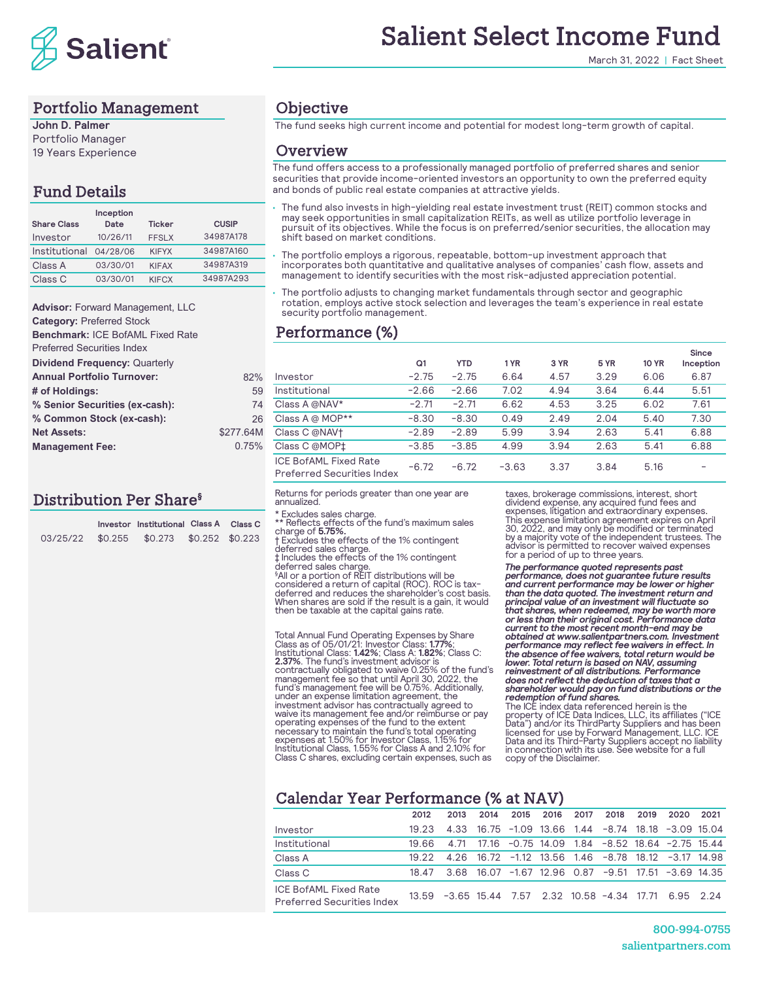

### Portfolio Management

**John D. Palmer** Portfolio Manager 19 Years Experience

### Fund Details

| <b>Share Class</b> | Inception<br>Date | <b>Ticker</b> | <b>CUSIP</b> |
|--------------------|-------------------|---------------|--------------|
| Investor           | 10/26/11          | <b>FFSLX</b>  | 34987A178    |
| Institutional      | 04/28/06          | <b>KIFYX</b>  | 34987A160    |
| Class A            | 03/30/01          | <b>KIFAX</b>  | 34987A319    |
| Class C            | 03/30/01          | <b>KIFCX</b>  | 34987A293    |

| <b>Advisor: Forward Management, LLC</b> |           |
|-----------------------------------------|-----------|
| <b>Category: Preferred Stock</b>        |           |
| <b>Benchmark: ICE BofAML Fixed Rate</b> |           |
| <b>Preferred Securities Index</b>       |           |
| <b>Dividend Frequency: Quarterly</b>    |           |
| <b>Annual Portfolio Turnover:</b>       | 82%       |
| # of Holdings:                          | 59        |
| % Senior Securities (ex-cash):          | 74        |
| % Common Stock (ex-cash):               | 26        |
| <b>Net Assets:</b>                      | \$277.64M |
| <b>Management Fee:</b>                  | 0.75%     |

### Distribution Per Share§

|                                          | Investor Institutional Class A Class C |  |
|------------------------------------------|----------------------------------------|--|
| 03/25/22 \$0.255 \$0.273 \$0.252 \$0.223 |                                        |  |

March 31, 2022 | Fact Sheet

### **Objective**

The fund seeks high current income and potential for modest long-term growth of capital.

### **Overview**

The fund offers access to a professionally managed portfolio of preferred shares and senior securities that provide income-oriented investors an opportunity to own the preferred equity and bonds of public real estate companies at attractive yields.

- The fund also invests in high-yielding real estate investment trust (REIT) common stocks and may seek opportunities in small capitalization REITs, as well as utilize portfolio leverage in pursuit of its objectives. While the focus is on preferred/senior securities, the allocation may shift based on market conditions.
- The portfolio employs a rigorous, repeatable, bottom-up investment approach that incorporates both quantitative and qualitative analyses of companies' cash flow, assets and management to identify securities with the most risk-adjusted appreciation potential.
- The portfolio adjusts to changing market fundamentals through sector and geographic rotation, employs active stock selection and leverages the team's experience in real estate security portfolio management.

### Performance (%)

|                                                                   |         |            |         |      |             |              | Since                    |
|-------------------------------------------------------------------|---------|------------|---------|------|-------------|--------------|--------------------------|
|                                                                   | Q1      | <b>YTD</b> | 1 YR    | 3 YR | <b>5 YR</b> | <b>10 YR</b> | Inception                |
| Investor                                                          | $-2.75$ | $-2.75$    | 6.64    | 4.57 | 3.29        | 6.06         | 6.87                     |
| Institutional                                                     | $-2.66$ | $-2.66$    | 7.02    | 4.94 | 3.64        | 6.44         | 5.51                     |
| Class A @NAV*                                                     | $-2.71$ | $-2.71$    | 6.62    | 4.53 | 3.25        | 6.02         | 7.61                     |
| Class A @ MOP**                                                   | $-8.30$ | $-8.30$    | 0.49    | 2.49 | 2.04        | 5.40         | 7.30                     |
| Class C @NAV†                                                     | $-2.89$ | $-2.89$    | 5.99    | 3.94 | 2.63        | 5.41         | 6.88                     |
| Class C @MOP‡                                                     | $-3.85$ | $-3.85$    | 4.99    | 3.94 | 2.63        | 5.41         | 6.88                     |
| <b>ICE BofAML Fixed Rate</b><br><b>Preferred Securities Index</b> | $-6.72$ | $-6.72$    | $-3.63$ | 3.37 | 3.84        | 5.16         | $\overline{\phantom{0}}$ |

Returns for periods greater than one year are annualized.

\* Excludes sales charge.

\*\* Reflects effects of the fund's maximum sales charge of **5.75%.** † Excludes the effects of the 1% contingent

deferred sales charge. ‡ Includes the effects of the 1% contingent deferred sales charge.

§All or a portion of REIT distributions will be considered a return of capital (ROC). ROC is tax- deferred and reduces the shareholder's cost basis. When shares are sold if the result is a gain, it would then be taxable at the capital gains rate.

Total Annual Fund Operating Expenses by Share Class as of 05/01/21: Investor Class: **1.77%**; Institutional Class: **1.42%**; Class A: **1.82%**; Class C: **2.37%**. The fund's investment advisor is contractually obligated to waive 0.25% of the fund's management fee so that until April 30, 2022, the fund's management fee will be 0.75%. Additionally, under an expense limitation agreement, the investment advisor has contractually agreed to waive its management fee and/or reimburse or pay operating expenses of the fund to the extent necessary to maintain the fund's total operating expenses at 1.50% for Investor Class, 1.15% for Institutional Class, 1.55% for Class A and 2.10% for Class C shares, excluding certain expenses, such as

taxes, brokerage commissions, interest, short dividend expense, any acquired fund fees and expenses, litigation and extraordinary expenses. This expense limitation agreement expires on April 30, 2022, and may only be modified or terminated by a majority vote of the independent trustees. The advisor is permitted to recover waived expenses for a period of up to three years.

*The performance quoted represents past performance, does not guarantee future results and current performance may be lower or higher than the data quoted. The investment return and principal value of an investment will fluctuate so that shares, when redeemed, may be worth more or less than their original cost. Performance data current to the most recent month-end may be obtained at www.salientpartners.com. Investment performance may reflect fee waivers in effect. In the absence of fee waivers, total return would be lower. Total return is based on NAV, assuming reinvestment of all distributions. Performance does not reflect the deduction of taxes that a shareholder would pay on fund distributions or the redemption of fund shares.*  The ICE index data referenced herein is the

property of ICE Data Indices, LLC, its affiliates ("ICE Data") and/or its ThirdParty Suppliers and has been licensed for use by Forward Management, LLC. ICE Data and its Third-Party Suppliers accept no liability in connection with its use. See website for a full copy of the Disclaimer.

## Calendar Year Performance (% at NAV)

|                                                                   | 2012  | 2013                                                    | 2014 | 2015 | 2016 | 2017 | 2018 | 2019 | 2020                                                | 2021 |
|-------------------------------------------------------------------|-------|---------------------------------------------------------|------|------|------|------|------|------|-----------------------------------------------------|------|
| Investor                                                          | 19.23 |                                                         |      |      |      |      |      |      | 4.33 16.75 -1.09 13.66 1.44 -8.74 18.18 -3.09 15.04 |      |
| Institutional                                                     | 19.66 | 4.71                                                    |      |      |      |      |      |      | 17.16 -0.75 14.09 1.84 -8.52 18.64 -2.75 15.44      |      |
| Class A                                                           | 19.22 |                                                         |      |      |      |      |      |      | 4.26 16.72 -1.12 13.56 1.46 -8.78 18.12 -3.17 14.98 |      |
| Class C                                                           | 18.47 |                                                         |      |      |      |      |      |      | 3.68 16.07 -1.67 12.96 0.87 -9.51 17.51 -3.69 14.35 |      |
| <b>ICE BofAML Fixed Rate</b><br><b>Preferred Securities Index</b> |       | 13.59 -3.65 15.44 7.57 2.32 10.58 -4.34 17.71 6.95 2.24 |      |      |      |      |      |      |                                                     |      |